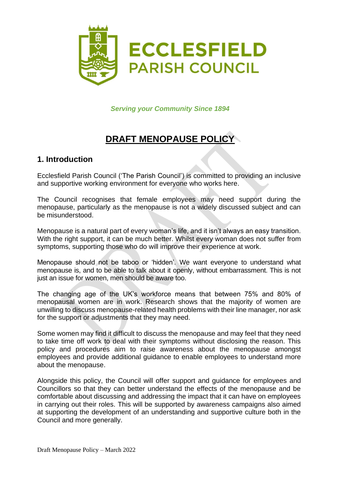

*Serving your Community Since 1894*

# **DRAFT MENOPAUSE POLICY**

### **1. Introduction**

Ecclesfield Parish Council ('The Parish Council') is committed to providing an inclusive and supportive working environment for everyone who works here.

The Council recognises that female employees may need support during the menopause, particularly as the menopause is not a widely discussed subject and can be misunderstood.

Menopause is a natural part of every woman's life, and it isn't always an easy transition. With the right support, it can be much better. Whilst every woman does not suffer from symptoms, supporting those who do will improve their experience at work.

Menopause should not be taboo or 'hidden'. We want everyone to understand what menopause is, and to be able to talk about it openly, without embarrassment. This is not just an issue for women, men should be aware too.

The changing age of the UK's workforce means that between 75% and 80% of menopausal women are in work. Research shows that the majority of women are unwilling to discuss menopause-related health problems with their line manager, nor ask for the support or adjustments that they may need.

Some women may find it difficult to discuss the menopause and may feel that they need to take time off work to deal with their symptoms without disclosing the reason. This policy and procedures aim to raise awareness about the menopause amongst employees and provide additional guidance to enable employees to understand more about the menopause.

Alongside this policy, the Council will offer support and guidance for employees and Councillors so that they can better understand the effects of the menopause and be comfortable about discussing and addressing the impact that it can have on employees in carrying out their roles. This will be supported by awareness campaigns also aimed at supporting the development of an understanding and supportive culture both in the Council and more generally.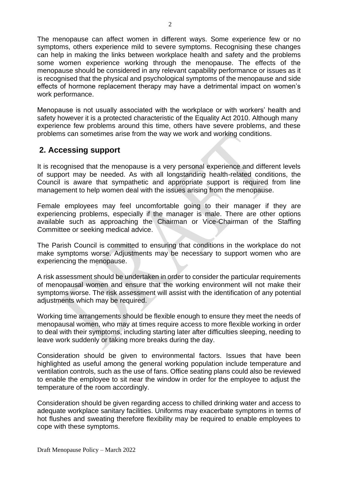The menopause can affect women in different ways. Some experience few or no symptoms, others experience mild to severe symptoms. Recognising these changes can help in making the links between workplace health and safety and the problems some women experience working through the menopause. The effects of the menopause should be considered in any relevant capability performance or issues as it is recognised that the physical and psychological symptoms of the menopause and side effects of hormone replacement therapy may have a detrimental impact on women's work performance.

Menopause is not usually associated with the workplace or with workers' health and safety however it is a protected characteristic of the Equality Act 2010. Although many experience few problems around this time, others have severe problems, and these problems can sometimes arise from the way we work and working conditions.

# **2. Accessing support**

It is recognised that the menopause is a very personal experience and different levels of support may be needed. As with all longstanding health-related conditions, the Council is aware that sympathetic and appropriate support is required from line management to help women deal with the issues arising from the menopause.

Female employees may feel uncomfortable going to their manager if they are experiencing problems, especially if the manager is male. There are other options available such as approaching the Chairman or Vice-Chairman of the Staffing Committee or seeking medical advice.

The Parish Council is committed to ensuring that conditions in the workplace do not make symptoms worse. Adjustments may be necessary to support women who are experiencing the menopause.

A risk assessment should be undertaken in order to consider the particular requirements of menopausal women and ensure that the working environment will not make their symptoms worse. The risk assessment will assist with the identification of any potential adjustments which may be required.

Working time arrangements should be flexible enough to ensure they meet the needs of menopausal women, who may at times require access to more flexible working in order to deal with their symptoms, including starting later after difficulties sleeping, needing to leave work suddenly or taking more breaks during the day.

Consideration should be given to environmental factors. Issues that have been highlighted as useful among the general working population include temperature and ventilation controls, such as the use of fans. Office seating plans could also be reviewed to enable the employee to sit near the window in order for the employee to adjust the temperature of the room accordingly.

Consideration should be given regarding access to chilled drinking water and access to adequate workplace sanitary facilities. Uniforms may exacerbate symptoms in terms of hot flushes and sweating therefore flexibility may be required to enable employees to cope with these symptoms.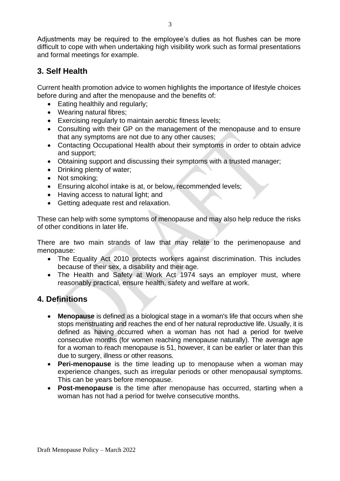Adjustments may be required to the employee's duties as hot flushes can be more difficult to cope with when undertaking high visibility work such as formal presentations and formal meetings for example.

# **3. Self Health**

Current health promotion advice to women highlights the importance of lifestyle choices before during and after the menopause and the benefits of:

- Eating healthily and regularly;
- Wearing natural fibres;
- Exercising regularly to maintain aerobic fitness levels;
- Consulting with their GP on the management of the menopause and to ensure that any symptoms are not due to any other causes;
- Contacting Occupational Health about their symptoms in order to obtain advice and support;
- Obtaining support and discussing their symptoms with a trusted manager;
- Drinking plenty of water;
- Not smoking:
- Ensuring alcohol intake is at, or below, recommended levels;
- Having access to natural light; and
- Getting adequate rest and relaxation.

These can help with some symptoms of menopause and may also help reduce the risks of other conditions in later life.

There are two main strands of law that may relate to the perimenopause and menopause:

- The Equality Act 2010 protects workers against discrimination. This includes because of their sex, a disability and their age.
- The Health and Safety at Work Act 1974 says an employer must, where reasonably practical, ensure health, safety and welfare at work.

# **4. Definitions**

- **Menopause** is defined as a biological stage in a woman's life that occurs when she stops menstruating and reaches the end of her natural reproductive life. Usually, it is defined as having occurred when a woman has not had a period for twelve consecutive months (for women reaching menopause naturally). The average age for a woman to reach menopause is 51, however, it can be earlier or later than this due to surgery, illness or other reasons.
- **Peri-menopause** is the time leading up to menopause when a woman may experience changes, such as irregular periods or other menopausal symptoms. This can be years before menopause.
- **Post-menopause** is the time after menopause has occurred, starting when a woman has not had a period for twelve consecutive months.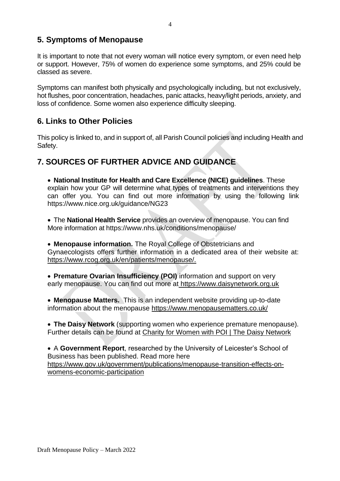# **5. Symptoms of Menopause**

It is important to note that not every woman will notice every symptom, or even need help or support. However, 75% of women do experience some symptoms, and 25% could be classed as severe.

Symptoms can manifest both physically and psychologically including, but not exclusively, hot flushes, poor concentration, headaches, panic attacks, heavy/light periods, anxiety, and loss of confidence. Some women also experience difficulty sleeping.

# **6. Links to Other Policies**

This policy is linked to, and in support of, all Parish Council policies and including Health and Safety.

# **7. SOURCES OF FURTHER ADVICE AND GUIDANCE**

• **National Institute for Health and Care Excellence (NICE) guidelines**. These explain how your GP will determine what types of treatments and interventions they can offer you. You can find out more information by using the following link https://www.nice.org.uk/guidance/NG23

• The **National Health Service** provides an overview of menopause. You can find More information at https://www.nhs.uk/conditions/menopause/

• **Menopause information.** The Royal College of Obstetricians and Gynaecologists offers further information in a dedicated area of their website at: [https://www.rcog.org.uk/en/patients/menopause/.](https://www.rcog.org.uk/en/patients/menopause/)

• **Premature Ovarian Insufficiency (POI)** information and support on very early menopause. You can find out more at [https://www.daisynetwork.org.uk](https://www.daisynetwork.org.uk/)

• **Menopause Matters.** This is an independent website providing up-to-date information about the menopause <https://www.menopausematters.co.uk/>

• **The Daisy Network** (supporting women who experience premature menopause). Further details can be found at [Charity for Women with POI | The Daisy Network](https://www.daisynetwork.org/)

• A **Government Report**, researched by the University of Leicester's School of Business has been published. Read more here https://www.gov.uk/government/publications/menopause-transition-effects-onwomens-economic-participation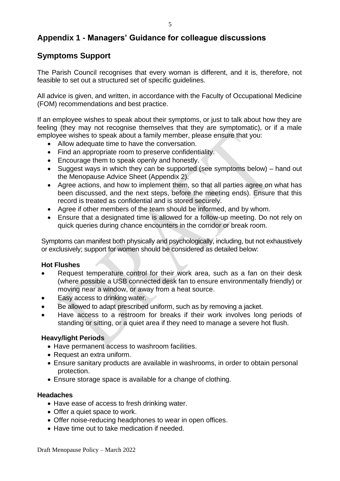# **Appendix 1 - Managers' Guidance for colleague discussions**

# **Symptoms Support**

The Parish Council recognises that every woman is different, and it is, therefore, not feasible to set out a structured set of specific guidelines.

All advice is given, and written, in accordance with the Faculty of Occupational Medicine (FOM) recommendations and best practice.

If an employee wishes to speak about their symptoms, or just to talk about how they are feeling (they may not recognise themselves that they are symptomatic), or if a male employee wishes to speak about a family member, please ensure that you:

- Allow adequate time to have the conversation.
- Find an appropriate room to preserve confidentiality.
- Encourage them to speak openly and honestly.
- Suggest ways in which they can be supported (see symptoms below) hand out the Menopause Advice Sheet (Appendix 2).
- Agree actions, and how to implement them, so that all parties agree on what has been discussed, and the next steps, before the meeting ends). Ensure that this record is treated as confidential and is stored securely.
- Agree if other members of the team should be informed, and by whom.
- Ensure that a designated time is allowed for a follow-up meeting. Do not rely on quick queries during chance encounters in the corridor or break room.

Symptoms can manifest both physically and psychologically, including, but not exhaustively or exclusively; support for women should be considered as detailed below:

#### **Hot Flushes**

- Request temperature control for their work area, such as a fan on their desk (where possible a USB connected desk fan to ensure environmentally friendly) or moving near a window, or away from a heat source.
- Easy access to drinking water.
- Be allowed to adapt prescribed uniform, such as by removing a jacket.
- Have access to a restroom for breaks if their work involves long periods of standing or sitting, or a quiet area if they need to manage a severe hot flush.

#### **Heavy/light Periods**

- Have permanent access to washroom facilities.
- Request an extra uniform.
- Ensure sanitary products are available in washrooms, in order to obtain personal protection.
- Ensure storage space is available for a change of clothing.

#### **Headaches**

- Have ease of access to fresh drinking water.
- Offer a quiet space to work.
- Offer noise-reducing headphones to wear in open offices.
- Have time out to take medication if needed.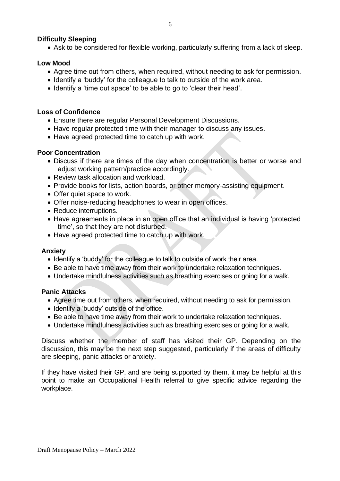#### **Difficulty Sleeping**

• Ask to be considered for flexible working, particularly suffering from a lack of sleep.

#### **Low Mood**

- Agree time out from others, when required, without needing to ask for permission.
- Identify a 'buddy' for the colleague to talk to outside of the work area.
- Identify a 'time out space' to be able to go to 'clear their head'.

#### **Loss of Confidence**

- Ensure there are regular Personal Development Discussions.
- Have regular protected time with their manager to discuss any issues.
- Have agreed protected time to catch up with work.

#### **Poor Concentration**

- Discuss if there are times of the day when concentration is better or worse and adjust working pattern/practice accordingly.
- Review task allocation and workload.
- Provide books for lists, action boards, or other memory-assisting equipment.
- Offer quiet space to work.
- Offer noise-reducing headphones to wear in open offices.
- Reduce interruptions.
- Have agreements in place in an open office that an individual is having 'protected time', so that they are not disturbed.
- Have agreed protected time to catch up with work.

#### **Anxiety**

- Identify a 'buddy' for the colleague to talk to outside of work their area.
- Be able to have time away from their work to undertake relaxation techniques.
- Undertake mindfulness activities such as breathing exercises or going for a walk.

#### **Panic Attacks**

- Agree time out from others, when required, without needing to ask for permission.
- Identify a 'buddy' outside of the office.
- Be able to have time away from their work to undertake relaxation techniques.
- Undertake mindfulness activities such as breathing exercises or going for a walk.

Discuss whether the member of staff has visited their GP. Depending on the discussion, this may be the next step suggested, particularly if the areas of difficulty are sleeping, panic attacks or anxiety.

If they have visited their GP, and are being supported by them, it may be helpful at this point to make an Occupational Health referral to give specific advice regarding the workplace.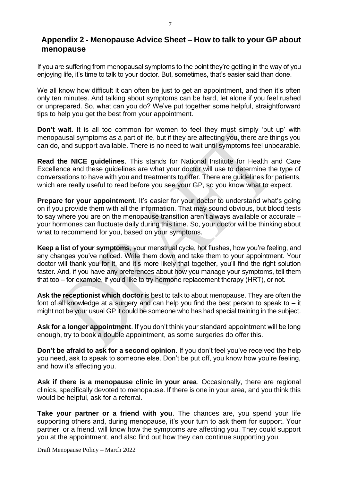### **Appendix 2 - Menopause Advice Sheet – How to talk to your GP about menopause**

If you are suffering from menopausal symptoms to the point they're getting in the way of you enjoying life, it's time to talk to your doctor. But, sometimes, that's easier said than done.

We all know how difficult it can often be just to get an appointment, and then it's often only ten minutes. And talking about symptoms can be hard, let alone if you feel rushed or unprepared. So, what can you do? We've put together some helpful, straightforward tips to help you get the best from your appointment.

**Don't wait**. It is all too common for women to feel they must simply 'put up' with menopausal symptoms as a part of life, but if they are affecting you, there are things you can do, and support available. There is no need to wait until symptoms feel unbearable.

**Read the NICE guidelines**. This stands for National Institute for Health and Care Excellence and these guidelines are what your doctor will use to determine the type of conversations to have with you and treatments to offer. There are guidelines for patients, which are really useful to read before you see your GP, so you know what to expect.

**Prepare for your appointment.** It's easier for your doctor to understand what's going on if you provide them with all the information. That may sound obvious, but blood tests to say where you are on the menopause transition aren't always available or accurate – your hormones can fluctuate daily during this time. So, your doctor will be thinking about what to recommend for you, based on your symptoms.

**Keep a list of your symptoms**, your menstrual cycle, hot flushes, how you're feeling, and any changes you've noticed. Write them down and take them to your appointment. Your doctor will thank you for it, and it's more likely that together, you'll find the right solution faster. And, if you have any preferences about how you manage your symptoms, tell them that too – for example, if you'd like to try hormone replacement therapy (HRT), or not.

**Ask the receptionist which doctor** is best to talk to about menopause. They are often the font of all knowledge at a surgery and can help you find the best person to speak to  $-$  it might not be your usual GP it could be someone who has had special training in the subject.

**Ask for a longer appointment**. If you don't think your standard appointment will be long enough, try to book a double appointment, as some surgeries do offer this.

**Don't be afraid to ask for a second opinion**. If you don't feel you've received the help you need, ask to speak to someone else. Don't be put off, you know how you're feeling, and how it's affecting you.

**Ask if there is a menopause clinic in your area**. Occasionally, there are regional clinics, specifically devoted to menopause. If there is one in your area, and you think this would be helpful, ask for a referral.

**Take your partner or a friend with you**. The chances are, you spend your life supporting others and, during menopause, it's your turn to ask them for support. Your partner, or a friend, will know how the symptoms are affecting you. They could support you at the appointment, and also find out how they can continue supporting you.

Draft Menopause Policy – March 2022